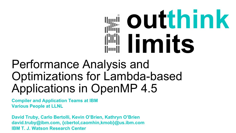# **outthink limits**

## Performance Analysis and Optimizations for Lambda-based Applications in OpenMP 4.5

**Compiler and Application Teams at IBM Various People at LLNL**

**David Truby, Carlo Bertolli, Kevin O'Brien, Kathryn O'Brien david.truby@ibm.com, {cbertol,caomhin,kmob}@us.ibm.com IBM T. J. Watson Research Center**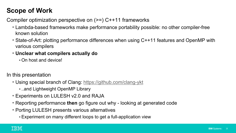## **Scope of Work**

Compiler optimization perspective on (>=) C++11 frameworks

- Lambda-based frameworks make performance portability possible: no other compiler-free known solution
- State-of-Art: plotting performance differences when using C++11 features and OpenMP with various compilers
- **Unclear what compilers actually do**
	- § On host and device!

In this presentation

- Using special branch of Clang: https://github.com/clang-ykt
	- ..and Lightweight OpenMP Library
- Experiments on LULESH v2.0 and RAJA
- Reporting performance **then** go figure out why looking at generated code
- Porting LULESH presents various alternatives
	- §Experiment on many different loops to get a full-application view

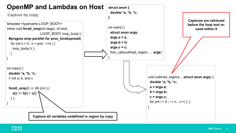

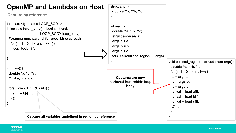

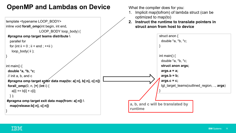## **OpenMP and Lambdas on Device**

template <typename LOOP\_BODY>

What the compiler does for you:

- Implicit map(tofrom) of lambda struct (can be optimized to map(to)
- **2. Instruct the runtime to translate pointers in struct anon from host to device**



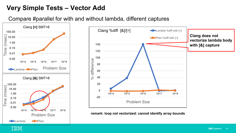## **Very Simple Tests – Vector Add**

Compare #parallel for with and without lambda, different captures





**remark: loop not vectorized: cannot identify array bounds**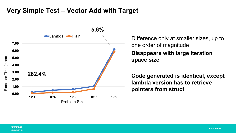## **Very Simple Test – Vector Add with Target**



one order of magnitude **Disappears with large iteration space size**

**Code generated is identical, except lambda version has to retrieve pointers from struct**

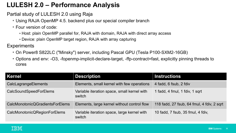## **LULESH 2.0 – Performance Analysis**

Partial study of LULESH 2.0 using Raja

- Using RAJA OpenMP 4.5. backend plus our special compiler branch
- Four version of code:
	- § Host: plain OpenMP parallel for, RAJA with domain, RAJA with direct array access
	- § Device: plain OpenMP target region, RAJA with array capturing

**Experiments** 

- On Power8 S822LC ("Minsky") server, including Pascal GPU (Tesla P100-SXM2-16GB)
- Options and env: -O3, -fopenmp-implicit-declare-target, -ffp-contract=fast, explicitly pinning threads to cores

| <b>Kernel</b>                   | <b>Description</b>                                    | $\vert$ Instructions                       |
|---------------------------------|-------------------------------------------------------|--------------------------------------------|
| CalcLagrangeElements            | Elements, small kernel with few operations            | 4 fadd, 6 fsub, 2 fdiv                     |
| <b>CalcSoundSpeedForElems</b>   | Variable iteration space, small kernel with<br>switch | 1 fadd, 4 fmul, 1 fdiv, 1 sqrt             |
| CalcMonotonicQGradientsForElems | Elements, large kernel without control flow           | 118 fadd, 27 fsub, 64 fmul, 4 fdiv, 2 sqrt |
| CalcMonotonicQRegionForElems    | Variable iteration space, large kernel with<br>switch | 10 fadd, 7 fsub, 35 fmul, 4 fdiv,          |

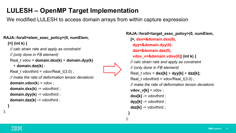## **LULESH – OpenMP Target Implementation**

We modified LULESH to access domain arrays from within capture expression

#### **RAJA::forall<elem\_exec\_policy>(0, numElem,**

**[=] (int k) {**

*// calc strain rate and apply as constraint*

*// (only done in FB element)*

```
Real_t vdov = domain.dxx(k) + domain.dyy(k)
```
+ **domain.dzz(k)** ;

**}**

);

Real\_t vdovthird = vdov/Real\_t(3.0) ;

```
// make the rate of deformation tensor deviatoric
```

```
domain.vdov(k) = vdov ;
```

```
domain.dxx(k) -= vdovthird ;
```

```
domain.dyy(k) = vdovthird ;
```

```
domain.dzz(k) -= vdovthird ;
```
**RAJA::forall<target\_exec\_policy>(0, numElem, [=, dxx=&domain.dxx(0), dyy=&domain.dyy(0), dzz=&domain.dzz(0), vdov\_v=&domain.vdov(0)] (int k) {** *// calc strain rate and apply as constraint // (only done in FB element)* Real\_t vdov = **dxx[k]** + **dyy[k]** + **dzz[k];**  Real t vdovthird = vdov/Real  $t(3.0)$ ; *// make the rate of deformation tensor deviatoric* **vdov**  $v[k] = vdov$  ;  $dxx[k]$  -= vdovthird ;  $\mathbf{dyy[k]} = \mathbf{v}\mathbf{d}\mathbf{v}$  $dzz[k]$  -= vdovthird ;



**}**

);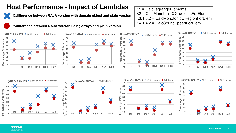## **Host Performance - Impact of Lambdas**



**%difference between RAJA version with domain object and plain version**



#### **%difference between RAJA version using arrays and plain version**

**-10**

















K1 = CalcLagrangeElements K2 = CalcMonotonicQGradientsForElem K3.1,3.2 = CalcMonotonicQRegionForElem K4.1,4.2 = CalcSoundSpeedForElem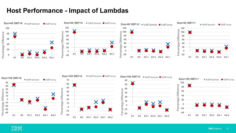## **Host Performance - Impact of Lambdas**





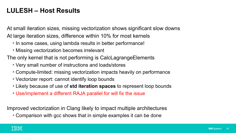## **LULESH – Host Results**

At small iteration sizes, missing vectorization shows significant slow downs At large iteration sizes, difference within 10% for most kernels

- In some cases, using lambda results in better performance!
- Missing vectorization becomes irrelevant

The only kernel that is not performing is CalcLagrangeElements

- Very small number of instructions and loads/stores
- Compute-limited: missing vectorization impacts heavily on performance
- Vectorizer report: cannot identify loop bounds
- Likely because of use of **std iteration spaces** to represent loop bounds
- Use/implement a different RAJA parallel for will fix the issue

Improved vectorization in Clang likely to impact multiple architectures

• Comparison with gcc shows that in simple examples it can be done

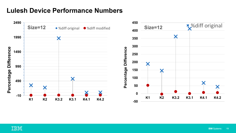## **Lulesh Device Performance Numbers**



![](_page_12_Picture_2.jpeg)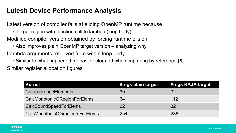## **Lulesh Device Performance Analysis**

Latest version of compiler fails at eliding OpenMP runtime because

- Target region with function call to lambda (loop body)
- Modified compiler version obtained by forcing runtime elision
	- Also improves plain OpenMP target version analyzing why

Lambda arguments retrieved from within loop body

• Similar to what happened for host vector add when capturing by reference **[&]** Similar register allocation figures

| Kernel                          | #regs plain target | #regs RAJA target |
|---------------------------------|--------------------|-------------------|
| <b>CalcLagrangeElements</b>     | 30                 | 32                |
| CalcMonotonicQRegionForElems    | 64                 | 112               |
| <b>CalcSoundSpeedForElems</b>   | 32                 | 32                |
| CalcMonotonicQGradientsForElems | 254                | 238               |

![](_page_13_Picture_8.jpeg)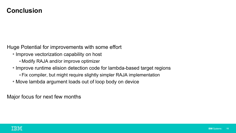### **Conclusion**

Huge Potential for improvements with some effort

- Improve vectorization capability on host
	- § Modify RAJA and/or improve optimizer
- Improve runtime elision detection code for lambda-based target regions
	- § Fix compiler, but might require slightly simpler RAJA implementation
- Move lambda argument loads out of loop body on device

Major focus for next few months

![](_page_14_Picture_8.jpeg)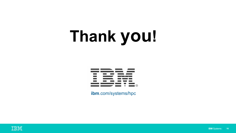## **Thank you!**

![](_page_15_Picture_1.jpeg)

**ibm**.com/systems/hpc

![](_page_15_Picture_3.jpeg)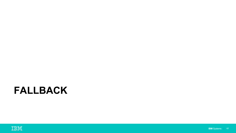## **FALLBACK**

![](_page_16_Picture_1.jpeg)